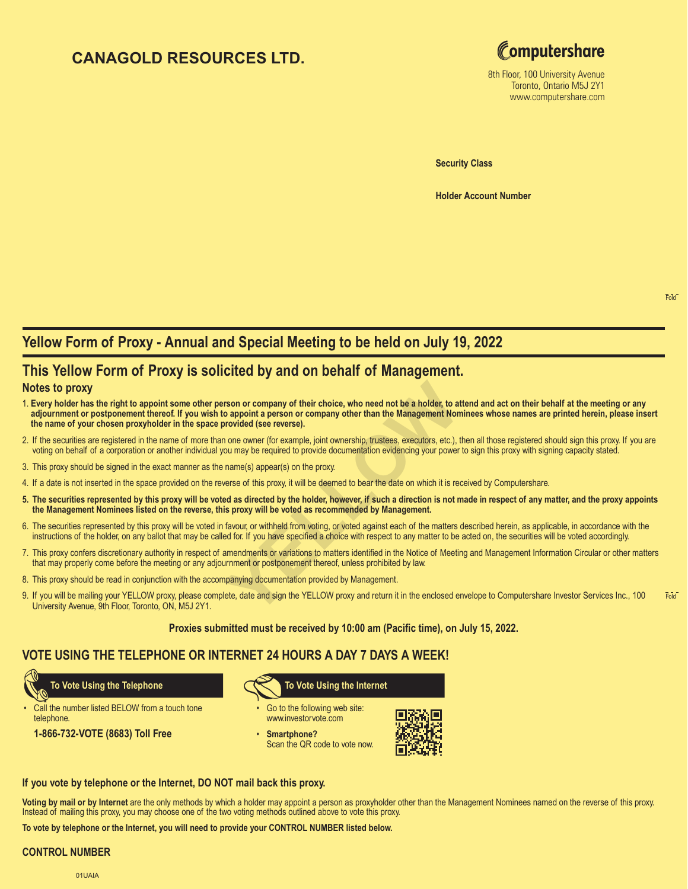# **CANAGOLD RESOURCES LTD.**



8th Floor, 100 University Avenue Toronto, Ontario M5J 2Y1 www.computershare.com

**Security Class**

**Holder Account Number** 

# **Yellow Form of Proxy - Annual and Special Meeting to be held on July 19, 2022**

## **This Yellow Form of Proxy is solicited by and on behalf of Management.**

### **Notes to proxy**

- **The Transformal System System Control Commonly of their choice, who need not be a holder, to at o appoint a person or company other than the Management Non provided (see reverse).<br>
1 one owner (for example, joint ownershi** 1. **Every holder has the right to appoint some other person or company of their choice, who need not be a holder, to attend and act on their behalf at the meeting or any adjournment or postponement thereof. If you wish to appoint a person or company other than the Management Nominees whose names are printed herein, please insert the name of your chosen proxyholder in the space provided (see reverse).**
- 2. If the securities are registered in the name of more than one owner (for example, joint ownership, trustees, executors, etc.), then all those registered should sign this proxy. If you are voting on behalf of a corporation or another individual you may be required to provide documentation evidencing your power to sign this proxy with signing capacity stated.
- 3. This proxy should be signed in the exact manner as the name(s) appear(s) on the proxy.
- 4. If a date is not inserted in the space provided on the reverse of this proxy, it will be deemed to bear the date on which it is received by Computershare.
- **5. The securities represented by this proxy will be voted as directed by the holder, however, if such a direction is not made in respect of any matter, and the proxy appoints the Management Nominees listed on the reverse, this proxy will be voted as recommended by Management.**
- 6. The securities represented by this proxy will be voted in favour, or withheld from voting, or voted against each of the matters described herein, as applicable, in accordance with the instructions of the holder, on any ballot that may be called for. If you have specified a choice with respect to any matter to be acted on, the securities will be voted accordingly.
- 7. This proxy confers discretionary authority in respect of amendments or variations to matters identified in the Notice of Meeting and Management Information Circular or other matters that may properly come before the meeting or any adjournment or postponement thereof, unless prohibited by law.
- 8. This proxy should be read in conjunction with the accompanying documentation provided by Management.
- Fold 9. If you will be mailing your YELLOW proxy, please complete, date and sign the YELLOW proxy and return it in the enclosed envelope to Computershare Investor Services Inc., 100 University Avenue, 9th Floor, Toronto, ON, M5J 2Y1.

**Proxies submitted must be received by 10:00 am (Pacific time), on July 15, 2022.**

## **VOTE USING THE TELEPHONE OR INTERNET 24 HOURS A DAY 7 DAYS A WEEK!**

Call the number listed BELOW from a touch tone telephone.

**1-866-732-VOTE (8683) Toll Free**



- Go to the following web site: www.investorvote.com
- **Smartphone?** Scan the QR code to vote now.



### **If you vote by telephone or the Internet, DO NOT mail back this proxy.**

**Voting by mail or by Internet** are the only methods by which a holder may appoint a person as proxyholder other than the Management Nominees named on the reverse of this proxy. Instead of mailing this proxy, you may choose one of the two voting methods outlined above to vote this proxy.

**To vote by telephone or the Internet, you will need to provide your CONTROL NUMBER listed below.**

#### **CONTROL NUMBER**